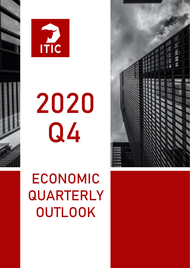



# 2020 Q4

# ECONOMIC QUARTERLY **OUTLOOK**

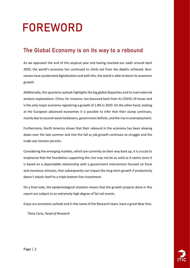### $\overline{a}$ FOREWORD

#### The Global Economy is on its way to a rebound

As we approach the end of this atypical year and having reached our nadir around April 2020, the world's economy has continued to climb out from the depths achieved. Businesses have accelerated digitalization and with this, the world is able to boost its economic growth.

Additionally, this quarterly outlook highlights the big global disparities and its main external analysis explanations. China, for instance, has bounced back from its COVID-19 losses and is the only major economy registering a growth of 1.8% in 2020. On the other hand, looking at the European advanced economies it is possible to infer that their slump continues, mainly due to second-wave lockdowns, government deficits, and the rise in unemployment.

Furthermore, North America shows that their rebound in the economy has been slowing down over the late summer and into the fall as job growth continues to struggle and the trade-war tension persists.

Considering the emerging markets, which are currently on their way back up, it is crucial to emphasize that the foundation supporting this rise may not be as solid as it seems since it is based on a dependable relationship with a government intervention focused on fiscal and monetary stimulus, that subsequently can impact the long-term growth if productivity doesn't attach itself to a triple bottom line investment.

On a final note, the epidemiological situation means that the growth projects done in this report are subject to an extremely high degree of fat-tail events.

Enjoy our economic outlook and in the name of the Research team, have a great New Year,

Tânia Caria, *Head of Research*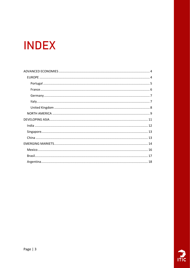### **INDEX**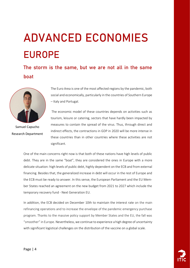## <span id="page-3-1"></span><span id="page-3-0"></span>ADVANCED ECONOMIES EUROPE

The storm is the same, but we are not all in the same boat



Samuel Capucho Research Department

The Euro Area is one of the most affected regions by the pandemic, both social and economically, particularly in the countries of Southern Europe – Italy and Portugal.

The economic model of these countries depends on activities such as tourism, leisure or catering, sectors that have hardly been impacted by measures to contain the spread of the virus. Thus, through direct and indirect effects, the contractions in GDP in 2020 will be more intense in these countries than in other countries where these activities are not significant.

One of the main concerns right now is that both of these nations have high levels of public debt. They are in the same "boat", they are considered the ones in Europe with a more delicate situation: high levels of public debt, highly dependent on the ECB and from external financing. Besides that, the generalized increase in debt will occur in the rest of Europe and the ECB must be ready to answer. In this sense, the European Parliament and the EU Member States reached an agreement on the new budget from 2021 to 2027 which include the temporary recovery fund - Next Generation EU.

In addition, the ECB decided on December 10th to maintain the interest rate on the main refinancing operations and to increase the envelope of the pandemic emergency purchase program. Thanks to the massive policy support by Member States and the EU, the fall was "smoother" in Europe. Nevertheless, we continue to experience a high degree of uncertainty with significant logistical challenges on the distribution of the vaccine on a global scale.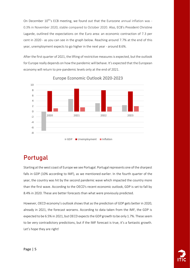On December 10<sup>th'</sup>s ECB meeting, we found out that the Eurozone annual inflation was -0.3% in November 2020, stable compared to October 2020. Also, ECB's President Christine Lagarde, outlined the expectations on the Euro area: an economic contraction of 7.3 per cent in 2020 - as you can see in the graph below. Reaching around 7.7% at the end of this year, unemployment expects to go higher in the next year - around 8.6%.

After the first quarter of 2021, the lifting of restrictive measures is expected, but the outlook for Europe really depends on how the pandemic will behave. It's expected that the European economy will return to pre-pandemic levels only at the end of 2021.



Europe Economic Outlook 2020-2023

### <span id="page-4-0"></span>Portugal

Starting at the west coast of Europe we see Portugal. Portugal represents one of the sharpest falls in GDP (10% according to IMF), as we mentioned earlier. In the fourth quarter of the year, the country was hit by the second pandemic wave which impacted the country more than the first wave. According to the OECD's recent economic outlook, GDP is set to fall by 8.4% in 2020. These are better forecasts than what were previously predicted.

However, OECD economy's outlook shows that as the prediction of GDP gets better in 2020, already in 2021, the forecast worsens. According to data taken from the IMF, the GDP is expected to be 6.5% in 2021, but OECD expects the GDP growth to be only 1.7%. These seem to be very contradictory predictions, but if the IMF forecast is true, it's a fantastic growth. Let's hope they are right!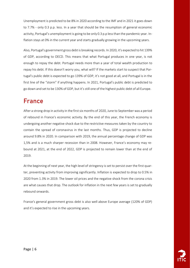Unemployment is predicted to be 8% in 2020 according to the IMF and in 2021 it goes down to 7.7% - only 0.3 p.p. less. In a year that should be the resumption of general economic activity, Portugal's unemployment is going to be only 0.3 p.p less than the pandemic year. Inflation stays at 0% in the current year and starts gradually growing in the upcoming years.

Also, Portugal's government gross debt is breaking records. In 2020, it's expected to hit 139% of GDP, according to OECD. This means that what Portugal produces in one year, is not enough to repay the debt. Portugal needs more than a year of total wealth production to repay his debt. If this doesn't worry you, what will? If the markets start to suspect that Portugal's public debt is expected to go 139% of GDP, it's not good at all, and Portugal is in the first line of the "storm" if anything happens. In 2021, Portugal's public debt is predicted to go down and set to be 130% of GDP, but it's still one of the highest public debt of all Europe.

### <span id="page-5-0"></span>France

After a strong drop in activity in the first six months of 2020, June to September was a period of rebound in France's economic activity. By the end of this year, the French economy is undergoing another negative shock due to the restrictive measures taken by the country to contain the spread of coronavirus in the last months. Thus, GDP is projected to decline around 9.8% in 2020. In comparison with 2019, the annual percentage change of GDP was 1,5% and is a much sharper recession than in 2008. However, France's economy may rebound at 2021, at the end of 2022, GDP is projected to remain lower than at the end of 2019.

At the beginning of next year, the high level of stringency is set to persist over the first quarter, preventing activity from improving significantly. Inflation is expected to drop to 0.5% in 2020 from 1.3% in 2019. The lower oil prices and the negative shock from the corona crisis are what causes that drop. The outlook for inflation in the next few years is set to gradually rebound onwards.

France's general government gross debt is also well above Europe average (120% of GDP) and it's expected to rise in the upcoming years.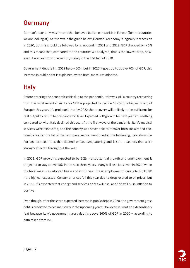### <span id="page-6-0"></span>Germany

German's economy was the one that behaved better in this crisis in Europe (for the countries we are looking at). As it shows in the graph below, German's economy is logically in recession in 2020, but this should be followed by a rebound in 2021 and 2022. GDP dropped only 6% and this means that, compared to the countries we analyzed, that is the lowest drop, however, it was an historic recession, mainly in the first half of 2020.

Government debt fell in 2019 below 60%, but in 2020 it goes up to above 70% of GDP, this increase in public debt is explained by the fiscal measures adopted.

### <span id="page-6-1"></span>Italy

Before entering the economic crisis due to the pandemic, Italy was still a country recovering from the most recent crisis. Italy's GDP is projected to decline 10.6% (the highest sharp of Europe) this year. It's projected that by 2022 the recovery will unlikely to be sufficient for real output to return to pre-pandemic level. Expected GDP growth for next year's it's nothing compared to what Italy declined this year. At the first wave of the pandemic, Italy's medical services were exhausted, and the country was never able to recover both socially and economically after the hit of the first wave. As we mentioned at the beginning, Italy alongside Portugal are countries that depend on tourism, catering and leisure – sectors that were strongly affected throughout the year.

In 2021, GDP growth is expected to be 5.2% - a substantial growth and unemployment is projected to stay above 10% in the next three years. Many will lose jobs even in 2021, when the fiscal measures adopted begin and in this year the unemployment is going to hit 11.8% - the highest expected. Consumer prices fall this year due to drop related to oil prices, but in 2021, it's expected that energy and services prices will rise, and this will push inflation to positive.

Even though, after the sharp expected increase in public debt in 2020, the government gross debt is predicted to decline slowly in the upcoming years. However, it is not an extraordinary feat because Italy's government gross debt is above 160% of GDP in 2020 – according to data taken from IMF.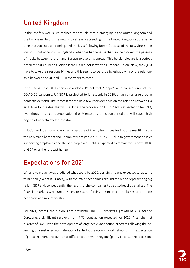### <span id="page-7-0"></span>United Kingdom

In the last few weeks, we realized the trouble that is emerging in the United Kingdom and the European Union. The new virus strain is spreading in the United Kingdom at the same time that vaccines are coming, and the UK is following Brexit. Because of the new virus strain - which is out of control in England -, what has happened is that France blocked the passage of trucks between the UK and Europe to avoid its spread. This border closure is a serious problem that could be avoided if the UK did not leave the European Union. Now, they (UK) have to take their responsibilities and this seems to be just a foreshadowing of the relationship between the UK and EU in the years to come.

In this sense, the UK's economic outlook it's not that "happy". As a consequence of the COVID-19 pandemic, UK GDP is projected to fall steeply in 2020, driven by a large drop in domestic demand. The forecast for the next few years depends on the relation between EU and UK as for the deal that will be done. The recovery in GDP in 2021 is expected to be 5.9%, even though it's a good expectation, the UK entered a transition period that will leave a high degree of uncertainty for investors.

Inflation will gradually go up partly because of the higher prices for imports resulting from the new trade barriers and unemployment goes to 7.4% in 2021 due to government policies supporting employees and the self-employed. Debt is expected to remain well above 100% of GDP over the forecast horizon.

### Expectations for 2021

When a year ago it was predicted what could be 2020, certainly no one expected what came to happen (except Bill Gates), with the major economies around the world representing big falls in GDP and, consequently, the results of the companies to be also heavily penalized. The financial markets were under heavy pressure, forcing the main central banks to promote economic and monetary stimulus.

For 2021, overall, the outlooks are optimistic. The ECB predicts a growth of 3.9% for the Eurozone, a significant recovery from 7.7% contraction expected for 2020. After the first quarter of 2021, with the development of large-scale vaccination programs allowing the beginning of a sustained normalization of activity, the economy will rebound. This expectation of global economic recovery has differences between regions (partly because the recessions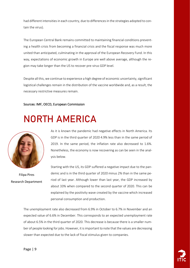had different intensities in each country, due to differences in the strategies adopted to contain the virus).

The European Central Bank remains committed to maintaining financial conditions preventing a health crisis from becoming a financial crisis and the fiscal response was much more united than anticipated, culminating in the approval of the European Recovery Fund. In this way, expectations of economic growth in Europe are well above average, although the region may take longer than the US to recover pre-virus GDP level.

Despite all this, we continue to experience a high degree of economic uncertainty, significant logistical challenges remain in the distribution of the vaccine worldwide and, as a result, the necessary restrictive measures remain.

#### Sources: IMF, OECD, European Commission

### <span id="page-8-0"></span>NORTH AMERICA



Filipa Pires Research Department

As it is known the pandemic had negative effects in North America. Its GDP is in the third quarter of 2020 4.9% less than in the same period of 2019. In the same period, the inflation rate also decreased to 1.6%. Nonetheless, the economy is now recovering as can be seen in the analysis below.

Starting with the US, its GDP suffered a negative impact due to the pandemic and is in the third quarter of 2020 minus 2% than in the same period of last year. Although lower than last year, the GDP increased by about 33% when compared to the second quarter of 2020. This can be explained by the positivity wave created by the vaccine which increased personal consumption and production.

The unemployment rate also decreased from 6.9% in October to 6.7% in November and an expected value of 6.6% in December. This corresponds to an expected unemployment rate of about 6.5% in the third quarter of 2020. This decrease is because there is a smaller number of people looking for jobs. However, it is important to note that the values are decreasing slower than expected due to the lack of fiscal stimulus given to companies.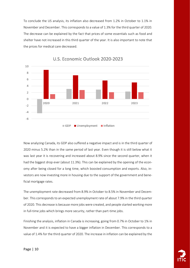To conclude the US analysis, its inflation also decreased from 1.2% in October to 1.1% in November and December. This corresponds to a value of 1.3% for the third quarter of 2020. The decrease can be explained by the fact that prices of some essentials such as food and shelter have not increased in this third quarter of the year. It is also important to note that the prices for medical care decreased.



U.S. Economic Outlook 2020-2023

Now analyzing Canada, its GDP also suffered a negative impact and is in the third quarter of 2020 minus 5.2% than in the same period of last year. Even though it is still below what it was last year it is recovering and increased about 8.9% since the second quarter, when it had the biggest drop ever (about 11.3%). This can be explained by the opening of the economy after being closed for a long time, which boosted consumption and exports. Also, investors are now investing more in housing due to the support of the government and beneficial mortgage rates.

The unemployment rate decreased from 8.9% in October to 8.5% in November and December. This corresponds to an expected unemployment rate of about 7.9% in the third quarter of 2020. This decrease is because more jobs were created, and people started working more in full-time jobs which brings more security, rather than part-time jobs.

Finishing the analysis, inflation in Canada is increasing, going from 0.7% in October to 1% in November and it is expected to have a bigger inflation in December. This corresponds to a value of 1.4% for the third quarter of 2020. The increase in inflation can be explained by the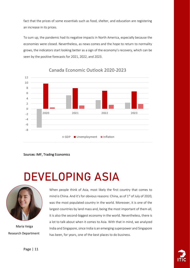fact that the prices of some essentials such as food, shelter, and education are registering an increase in its prices.

To sum up, the pandemic had its negative impacts in North America, especially because the economies were closed. Nevertheless, as news comes and the hope to return to normality grows, the indicators start looking better as a sign of the economy's recovery, which can be seen by the positive forecasts for 2021, 2022, and 2023.



Canada Economic Outlook 2020-2023

Sources: IMF, Trading Economics

### <span id="page-10-0"></span>DEVELOPING ASIA



Maria Veiga Research Department When people think of Asia, most likely the first country that comes to mind is China. And it's for obvious reasons: China, as of  $1<sup>st</sup>$  of July of 2020, was the most populated country in the world. Moreover, it is one of the largest countries by land mass and, being the most important of them all, it is also the second-biggest economy in the world. Nevertheless, there is a lot to talk about when it comes to Asia. With that in mind, we analyzed India and Singapore, since India is an emerging superpower and Singapore has been, for years, one of the best places to do business.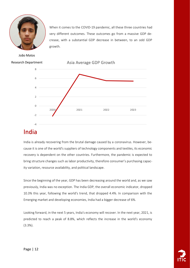

When it comes to the COVID-19 pandemic, all these three countries had very different outcomes. These outcomes go from a massive GDP decrease, with a substantial GDP decrease in between, to an odd GDP growth.

João Matos Research Department



Asia Average GDP Growth

#### <span id="page-11-0"></span>India

India is already recovering from the brutal damage caused by a coronavirus. However, because it is one of the world's suppliers of technology components and textiles, its economic recovery is dependent on the other countries. Furthermore, the pandemic is expected to bring structure changes such as labor productivity, therefore consumer's purchasing capacity variation, resource availability, and political landscape.

Since the beginning of the year, GDP has been decreasing around the world and, as we saw previously, India was no exception. The India GDP, the overall economic indicator, dropped 10.3% this year, following the world's trend, that dropped 4.4%. In comparison with the Emerging market and developing economies, India had a bigger decrease of 6%.

Looking forward, in the next 5 years, India's economy will recover. In the next year, 2021, is predicted to reach a peak of 8.8%, which reflects the increase in the world's economy (3.3%).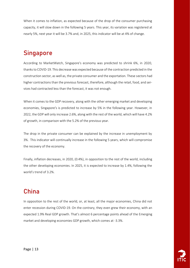When it comes to inflation, as expected because of the drop of the consumer purchasing capacity, it will slow down in the following 5 years. This year, its variation was registered at nearly 5%, next year it will be 3.7% and, in 2025, this indicator will be at 4% of change.

#### <span id="page-12-0"></span>Singapore

According to MarketWatch, Singapore's economy was predicted to shrink 6%, in 2020, thanks to COVID-19. This decrease was expected because of the contraction predicted in the construction sector, as well as, the private consumer and the exportation. These sectors had higher contractions than the previous forecast, therefore, although the retail, food, and services had contracted less than the forecast, it was not enough.

When it comes to the GDP recovery, along with the other emerging market and developing economies, Singapore's is predicted to increase by 5% in the following year. However, in 2022, the GDP will only increase 2.6%, along with the rest of the world, which will have 4.2% of growth, in comparison with the 5.2% of the previous year.

The drop in the private consumer can be explained by the increase in unemployment by 3%. This indicator will continually increase in the following 5 years, which will compromise the recovery of the economy.

Finally, inflation decreases, in 2020, (0.4%), in opposition to the rest of the world, including the other developing economies. In 2025, it is expected to increase by 1.4%, following the world's trend of 3.2%.

### <span id="page-12-1"></span>China

In opposition to the rest of the world, or, at least, all the major economies, China did not enter recession during COVID-19. On the contrary, they even grew their economy, with an expected 1.9% Real GDP growth. That's almost 6 percentage points ahead of the Emerging market and developing economies GDP growth, which comes at -3.3%.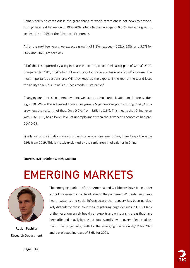China's ability to come out in the great shape of world recessions is not news to anyone. During the Great Recession of 2008-2009, China had an average of 9.55% Real GDP growth, against the -1.75% of the Advanced Economies.

As for the next few years, we expect a growth of 8.2% next year (2021), 5.8%, and 5.7% for 2022 and 2023, respectively.

All of this is supported by a big increase in exports, which fuels a big part of China's GDP. Compared to 2019, 2020's first 11 months global trade surplus is at a 21.4% increase. The most important questions are: Will they keep up the exports if the rest of the world loses the ability to buy? Is China's business model sustainable?

Changing our interest in unemployment, we have an almost unbelievable small increase during 2020. While the Advanced Economies grew 2.5 percentage points during 2020, China grew less than a tenth of that. Only 0,2%, from 3.6% to 3.8%. This means that China, even with COVID-19, has a lower level of unemployment than the Advanced Economies had pre-COVID-19.

Finally, as for the inflation rate according to average consumer prices, China keeps the same 2.9% from 2019. This is mostly explained by the rapid growth of salaries in China.

Sources: IMF, Market Watch, Statista

### EMERGING MARKETS



Ruslan Pushkar Research Department

<span id="page-13-0"></span>The emerging markets of Latin America and Caribbeans have been under a lot of pressure from all fronts due to the pandemic. With relatively weak health systems and social infrastructure the recovery has been particularly difficult for these countries, registering huge declines in GDP. Many of their economies rely heavily on exports and on tourism, areas that have been affected heavily by the lockdowns and slow recovery of external demand. The projected growth for the emerging markets is -8,1% for 2020 and a projected increase of 3,6% for 2021.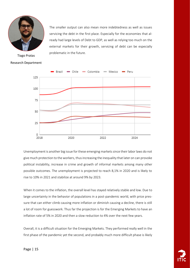

Tiago Pratas Research Department

The smaller output can also mean more indebtedness as well as issues servicing the debt in the first place. Especially for the economies that already had large levels of Debt to GDP, as well as relying too much on the external markets for their growth, servicing of debt can be especially problematic in the future.



Unemployment is another big issue for these emerging markets since their labor laws do not give much protection to the workers, thus increasing the inequality that later on can provoke political instability, increase in crime and growth of informal markets among many other possible outcomes. The unemployment is projected to reach 8,1% in 2020 and is likely to rise to 10% in 2021 and stabilize at around 9% by 2023.

When it comes to the inflation, the overall level has stayed relatively stable and low. Due to large uncertainty in the behavior of populations in a post-pandemic world, with price pressure that can either climb causing more inflation or diminish causing a decline, there is still a lot of room for guesswork. Thus far the projection is for the Emerging Markets to have an inflation rate of 5% in 2020 and then a slow reduction to 4% over the next few years.

Overall, it is a difficult situation for the Emerging Markets. They performed really well in the first phase of the pandemic yet the second, and probably much more difficult phase is likely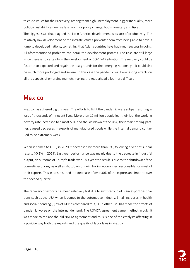to cause issues for their recovery, among them high unemployment, bigger inequality, more political instability as well as less room for policy change, both monetary and fiscal.

The biggest issue that plagued the Latin America development is its lack of productivity. The relatively low development of the infrastructures prevents them from being able to have a jump to developed nations, something that Asian countries have had much success in doing. All aforementioned problems can derail the development process. The risks are still large since there is no certainty in the development of COVID-19 situation. The recovery could be faster than expected and regain the lost grounds for the emerging nations, yet it could also be much more prolonged and severe. In this case the pandemic will have lasting effects on all the aspects of emerging markets making the road ahead a lot more difficult.

#### <span id="page-15-0"></span>Mexico

Mexico has suffered big this year. The efforts to fight the pandemic were subpar resulting in loss of thousands of innocent lives. More than 12 million people lost their job, the working poverty rate increased to almost 50% and the lockdown of the USA, their main trading partner, caused decreases in exports of manufactured goods while the internal demand continued to be extremely weak.

When it comes to GDP, in 2020 it decreased by more than 9%, following a year of subpar results (-0,1% in 2019). Last year performance was mainly due to the decrease in industrial output, an outcome of Trump's trade war. This year the result is due to the shutdown of the domestic economy as well as shutdown of neighboring economies, responsible for most of their exports. This in turn resulted in a decrease of over 30% of the exports and imports over the second quarter.

The recovery of exports has been relatively fast due to swift recoup of main export destinations such as the USA when it comes to the automotive industry. Small increases in health and social spending (0,7% of GDP as compared to 3,1% in other EM) has made the effects of pandemic worse on the internal demand. The USMCA agreement came in effect in July. It was made to replace the old NAFTA agreement and thus is one of the catalysts affecting in a positive way both the exports and the quality of labor laws in Mexico.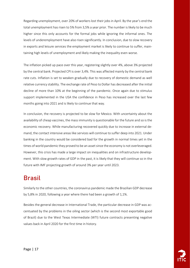Regarding unemployment, over 20% of workers lost their jobs in April. By the year's end the total unemployment has risen to 5% from 3,5% a year prior. The number is likely to be much higher since this only accounts for the formal jobs while ignoring the informal ones. The levels of underemployment have also risen significantly. In conclusion, due to slow recovery in exports and leisure services the employment market is likely to continue to suffer, maintaining high levels of unemployment and likely making the inequality even worse.

The inflation picked up pace over this year, registering slightly over 4%, above 3% projected by the central bank. Projected CPI is over 3,4%. This was affected mainly by the central bank rate cuts. Inflation is set to weaken gradually due to recovery of domestic demand as well relative currency stability. The exchange rate of Peso to Dollar has decreased after the initial decline of more than 10% at the beginning of the pandemic. Once again due to stimulus support implemented in the USA the confidence in Peso has increased over the last few months going into 2021 and is likely to continue that way.

In conclusion, the recovery is projected to be slow for Mexico. With uncertainty about the availability of cheap vaccines, the mass immunity is questionable for the future and so is the economic recovery. While manufacturing recovered quickly due to increase in external demand, the contact intensive areas like services will continue to suffer deep into 2021. Under banking in the country would be considered bad for the growth in normal times yet in the times of world pandemic they proved to be an asset since the economy is not overleveraged. However, this crisis has made a large impact on inequalities and on infrastructure development. With slow growth rates of GDP in the past, it is likely that they will continue so in the future with IMF projecting growth of around 3% per year until 2023.

#### <span id="page-16-0"></span>Brasil

Similarly to the other countries, the coronavirus pandemic made the Brazilian GDP decrease by 5,8% in 2020, following a year where there had been a growth of 1,1%.

Besides the general decrease in International Trade, the particular decrease in GDP was accentuated by the problems in the oiling sector (which is the second most exportable good of Brazil) due to the West Texas Intermediate (WTI) future contracts presenting negative values back in April 2020 for the first time in history.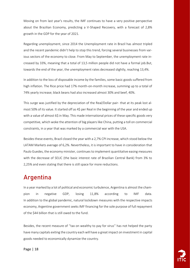Moving on from last year's results, the IMF continues to have a very positive perspective about the Brazilian Economy, predicting a V-Shaped Recovery, with a forecast of 2,8% growth in the GDP for the year of 2021.

Regarding unemployment, since 2014 the Unemployment rate in Brazil has almost tripled and the recent pandemic didn't help to stop this trend, forcing several businesses from various sectors of the economy to close. From May to September, the unemployment rate increased by 33%, meaning that a total of 13,5 million people did not have a formal job.But, towards the end of the year, the unemployment rates decreased slightly, reaching 13,4%.

In addition to the loss of disposable income by the families, some basic goods suffered from high inflation. The Rice price had 17% month-on-month increase, summing up to a total of 74% yearly increase; black beans had also increased almost 30% and beef, 40%.

This surge was justified by the depreciation of the Real/Dollar pair- that at its peak lost almost 50% of its value. It started off as 4\$ per Real in the beginning of the year and ended up with a value of almost 6\$ in May. This made international prices of these specific goods very competitive, which woke the attention of big players like China, putting a toll on commercial constraints, in a year that was marked by a commercial war with the USA.

Besides these events, Brazil closed the year with a 2,7% CPI increase, which stood below the LATAM Markets average of 6,2%. Nevertheless, it is important to have in consideration that Paulo Guedes, the economy minister, continues to implement quantitative easing measures with the decrease of SELIC (the basic interest rate of Brazilian Central Bank) from 3% to 2,25% and even stating that there is still space for more reductions.

#### <span id="page-17-0"></span>Argentina

In a year marked by a lot of political and economic turbulence, Argentina is almost the champion in negative GDP, losing 11,8% according to IMF data. In addition to the global pandemic, natural lockdown measures with the respective impacts economy, Argentine government seeks IMF financing for the sole purpose of full repayment of the \$44 billion that is still owed to the fund.

Besides, the recent measure of ''tax on wealthy to pay for virus'' has not helped the party have many capitals exiting the country each will have a great impact on investment in capital goods needed to economically dynamize the country.

Page | 18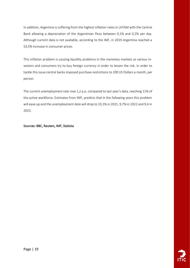In addition, Argentina is suffering from the highest inflation rates in LATAM with the Central Bank allowing a depreciation of the Argentinian Peso between 0,1% and 0,2% per day. Although current data is not available, according to the IMF, in 2019 Argentina reached a 53,5% increase in consumer prices.

This inflation problem is causing liquidity problems in the monetary markets as various Investors and consumers try to buy foreign currency in order to lessen the risk. In order to tackle this issue central banks imposed purchase restrictions to 200 US Dollars a month, per person.

The current unemployment rate rose 1,2 p.p. compared to last year's data, reaching 11% of the active workforce. Estimates from IMF, predicts that in the following years this problem will ease up and the unemployment date will drop to 10,1% in 2021, 9,7% in 2022 and 9,4 in 2023.

#### Sources: BBC, Reuters, IMF, Statista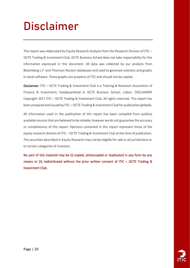### Disclaimer

This report was elaborated by Equity Research Analysts from the Research Division of ITIC -ISCTE Trading & Investment Club. ISCTE Business School does not take responsibility for the information expressed in this document. All data was collected by our analysts from Bloomberg L.P. and Thomson Reuters databases and used to generate statistics and graphs in excel software. These graphs are property of ITIC and should not be copied.

Disclaimer: ITIC – ISCTE Trading & Investment Club is a Training & Research Association of Finance & Investment, headquartered in ISCTE Business School, Lisbon. DISCLAIMER Copyright 2017 ITIC – ISCTE Trading & Investment Club. All rights reserved. This report has been prepared and issued by ITIC – ISCTE Trading & Investment Club for publication globally.

All information used in the publication of this report has been compiled from publicly available sources that are believed to be reliable, however we do not guarantee the accuracy or completeness of this report. Opinions contained in this report represent those of the equity research division of ITIC – ISCTE Trading & Investment Club at the time of publication. The securities described in Equity Research may not be eligible for sale in all jurisdictions or to certain categories of investors.

No part of this material may be (i) copied, photocopied or duplicated in any form by any means or (ii) redistributed without the prior written consent of ITIC – ISCTE Trading & Investment Club.